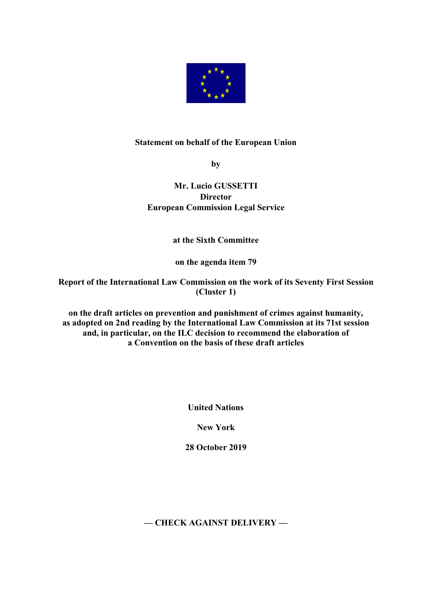

## **Statement on behalf of the European Union**

**by**

## **Mr. Lucio GUSSETTI Director European Commission Legal Service**

**at the Sixth Committee**

**on the agenda item 79**

**Report of the International Law Commission on the work of its Seventy First Session (Cluster 1)**

**on the draft articles on prevention and punishment of crimes against humanity, as adopted on 2nd reading by the International Law Commission at its 71st session and, in particular, on the ILC decision to recommend the elaboration of a Convention on the basis of these draft articles**

**United Nations**

**New York**

**28 October 2019**

**— CHECK AGAINST DELIVERY —**